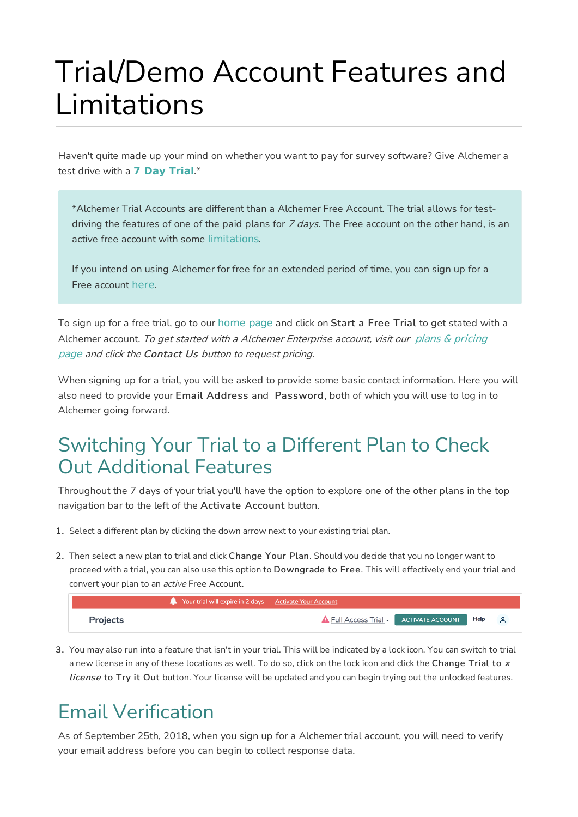# Trial/Demo Account Features and Limitations

Haven't quite made up your mind on whether you want to pay for survey software? Give Alchemer a test drive with a **7 Day Trial**.\*

\*Alchemer Trial Accounts are different than a Alchemer Free Account. The trial allows for testdriving the features of one of the paid plans for  $7$  days. The Free account on the other hand, is an active free account with some limitations.

If you intend on using Alchemer for free for an extended period of time, you can sign up for a Free account here.

To sign up for a free trial, go to our home page and click on Start a Free Trial to get stated with a Alchemer account. To get started with a Alchemer Enterprise account, visit our plans & pricing page and click the Contact Us button to request pricing.

When signing up for a trial, you will be asked to provide some basic contact information. Here you will also need to provide your Email Address and Password, both of which you will use to log in to Alchemer going forward.

#### Switching Your Trial to a Different Plan to Check Out Additional Features

Throughout the 7 days of your trial you'll have the option to explore one of the other plans in the top navigation bar to the left of the Activate Account button.

- 1. Select a different plan by clicking the down arrow next to your existing trial plan.
- 2. Then select a new plan to trial and click Change Your Plan. Should you decide that you no longer want to proceed with a trial, you can also use this option to Downgrade to Free. This will effectively end your trial and convert your plan to an *active* Free Account.

|                 | <b>A</b> Your trial will expire in 2 days Activate Your Account |                                               |  |  |
|-----------------|-----------------------------------------------------------------|-----------------------------------------------|--|--|
| <b>Projects</b> |                                                                 | A Full Access Trial - ACTIVATE ACCOUNT Help 8 |  |  |

3. You may also run into a feature that isn't in your trial. This will be indicated by a lock icon. You can switch to trial a new license in any of these locations as well. To do so, click on the lock icon and click the Change Trial to  $x$ license to Try it Out button. Your license will be updated and you can begin trying out the unlocked features.

## Email Verification

As of September 25th, 2018, when you sign up for a Alchemer trial account, you will need to verify your email address before you can begin to collect response data.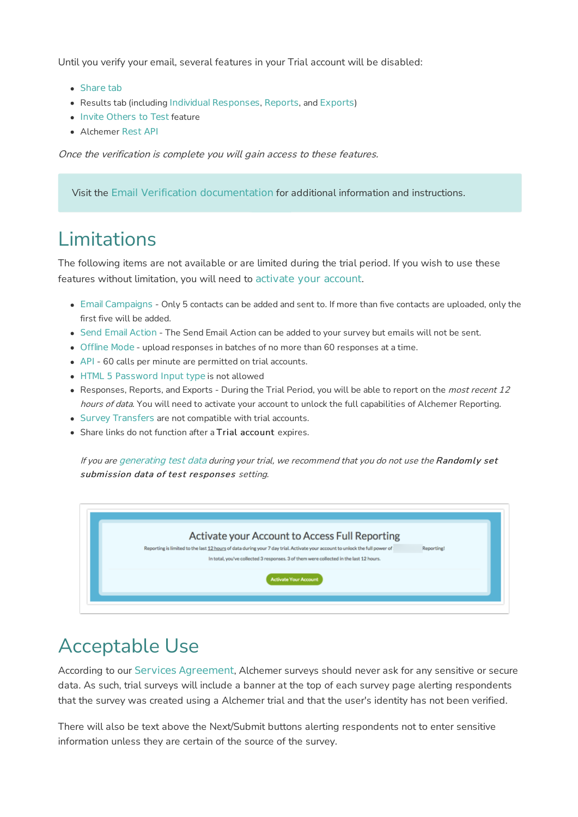Until you verify your email, several features in your Trial account will be disabled:

- Share tab
- Results tab (including Individual Responses, Reports, and Exports)
- Invite Others to Test feature
- Alchemer Rest API

Once the verification is complete you will gain access to these features.

Visit the Email Verification documentation for additional information and instructions.

#### Limitations

The following items are not available or are limited during the trial period. If you wish to use these features without limitation, you will need to activate your account.

- Email Campaigns Only 5 contacts can be added and sent to. If more than five contacts are uploaded, only the first five will be added.
- Send Email Action The Send Email Action can be added to your survey but emails will not be sent.
- Offline Mode upload responses in batches of no more than 60 responses at a time.
- API 60 calls per minute are permitted on trial accounts.
- HTML 5 Password Input type is not allowed
- Responses, Reports, and Exports During the Trial Period, you will be able to report on the *most recent 12* hours of data. You will need to activate your account to unlock the full capabilities of Alchemer Reporting.
- Survey Transfers are not compatible with trial accounts.
- Share links do not function after a Trial account expires.

If you are generating test data during your trial, we recommend that you do not use the Randomly set submission data of test responses setting.



### Acceptable Use

According to our Services Agreement, Alchemer surveys should never ask for any sensitive or secure data. As such, trial surveys will include a banner at the top of each survey page alerting respondents that the survey was created using a Alchemer trial and that the user's identity has not been verified.

There will also be text above the Next/Submit buttons alerting respondents not to enter sensitive information unless they are certain of the source of the survey.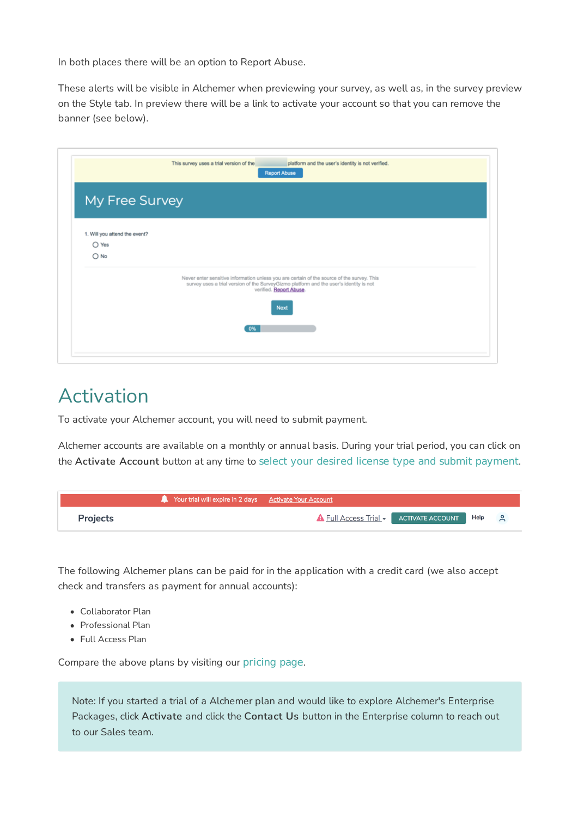In both places there will be an option to Report Abuse.

These alerts will be visible in Alchemer when previewing your survey, as well as, in the survey preview on the Style tab. In preview there will be a link to activate your account so that you can remove the banner (see below).

| My Free Survey                                                   |                                                                                                                                                                                                                         |
|------------------------------------------------------------------|-------------------------------------------------------------------------------------------------------------------------------------------------------------------------------------------------------------------------|
| 1. Will you attend the event?<br>$\bigcirc$ Yes<br>$\bigcirc$ No |                                                                                                                                                                                                                         |
|                                                                  | Never enter sensitive information unless you are certain of the source of the survey. This<br>survey uses a trial version of the SurveyGizmo platform and the user's identity is not<br>verified. Report Abuse.<br>Next |

#### Activation

To activate your Alchemer account, you will need to submit payment.

Alchemer accounts are available on a monthly or annual basis. During your trial period, you can click on the Activate Account button at any time to select your desired license type and submit payment.

|                 | Your trial will expire in 2 days Activate Your Account |                                               |  |  |
|-----------------|--------------------------------------------------------|-----------------------------------------------|--|--|
| <b>Projects</b> |                                                        | A Full Access Trial - ACTIVATE ACCOUNT Help 8 |  |  |

The following Alchemer plans can be paid for in the application with a credit card (we also accept check and transfers as payment for annual accounts):

- Collaborator Plan
- Professional Plan
- Full Access Plan

Compare the above plans by visiting our pricing page.

Note: If you started a trial of a Alchemer plan and would like to explore Alchemer's Enterprise Packages, click Activate and click the Contact Us button in the Enterprise column to reach out to our Sales team.